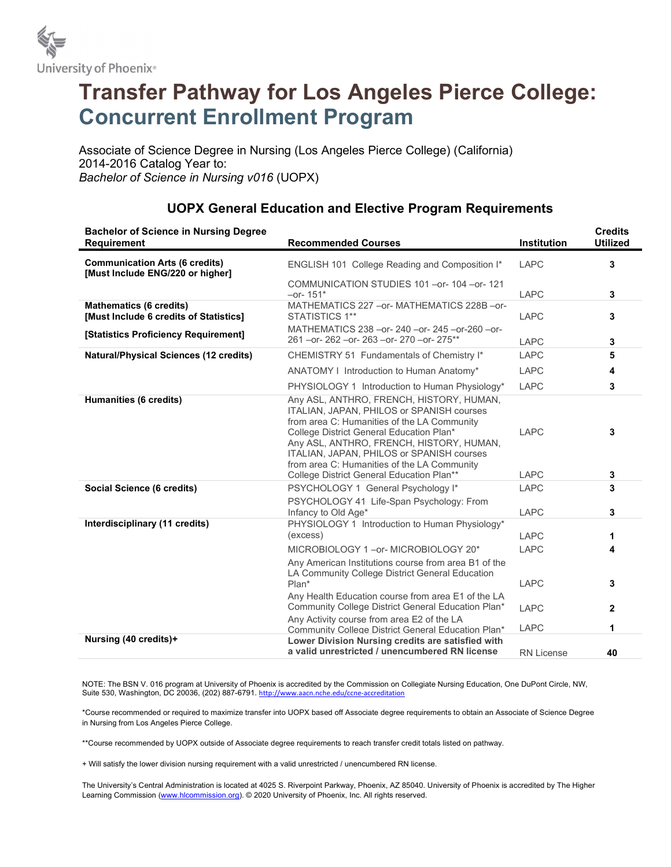

## Transfer Pathway for Los Angeles Pierce College: Concurrent Enrollment Program

Associate of Science Degree in Nursing (Los Angeles Pierce College) (California) 2014-2016 Catalog Year to: Bachelor of Science in Nursing v016 (UOPX)

| <b>Bachelor of Science in Nursing Degree</b><br><b>Requirement</b>        | <b>Recommended Courses</b>                                                                                                                                                                                                                                                                                               | Institution         | <b>Credits</b><br><b>Utilized</b> |
|---------------------------------------------------------------------------|--------------------------------------------------------------------------------------------------------------------------------------------------------------------------------------------------------------------------------------------------------------------------------------------------------------------------|---------------------|-----------------------------------|
| <b>Communication Arts (6 credits)</b><br>[Must Include ENG/220 or higher] | ENGLISH 101 College Reading and Composition I*                                                                                                                                                                                                                                                                           | <b>LAPC</b>         | 3                                 |
|                                                                           | COMMUNICATION STUDIES 101 - or- 104 - or- 121<br>$-$ or-151 $*$                                                                                                                                                                                                                                                          | <b>LAPC</b>         | 3                                 |
| <b>Mathematics (6 credits)</b><br>[Must Include 6 credits of Statistics]  | MATHEMATICS 227 - or-MATHEMATICS 228B - or-<br>STATISTICS 1**                                                                                                                                                                                                                                                            | <b>LAPC</b>         | 3                                 |
| [Statistics Proficiency Requirement]                                      | MATHEMATICS 238 - or - 240 - or - 245 - or - 260 - or -<br>261 - or - 262 - or - 263 - or - 270 - or - 275**                                                                                                                                                                                                             | <b>LAPC</b>         | 3                                 |
| <b>Natural/Physical Sciences (12 credits)</b>                             | CHEMISTRY 51 Fundamentals of Chemistry I*                                                                                                                                                                                                                                                                                | <b>LAPC</b>         | 5                                 |
|                                                                           | ANATOMY I Introduction to Human Anatomy*                                                                                                                                                                                                                                                                                 | <b>LAPC</b>         | 4                                 |
|                                                                           | PHYSIOLOGY 1 Introduction to Human Physiology*                                                                                                                                                                                                                                                                           | <b>LAPC</b>         | 3                                 |
| Humanities (6 credits)                                                    | Any ASL, ANTHRO, FRENCH, HISTORY, HUMAN,<br>ITALIAN, JAPAN, PHILOS or SPANISH courses<br>from area C: Humanities of the LA Community<br>College District General Education Plan*<br>Any ASL, ANTHRO, FRENCH, HISTORY, HUMAN,<br>ITALIAN, JAPAN, PHILOS or SPANISH courses<br>from area C: Humanities of the LA Community | <b>LAPC</b>         | 3                                 |
|                                                                           | College District General Education Plan**                                                                                                                                                                                                                                                                                | <b>LAPC</b>         | 3                                 |
| Social Science (6 credits)                                                | PSYCHOLOGY 1 General Psychology I*<br>PSYCHOLOGY 41 Life-Span Psychology: From<br>Infancy to Old Age*                                                                                                                                                                                                                    | <b>LAPC</b><br>LAPC | 3<br>3                            |
| Interdisciplinary (11 credits)                                            | PHYSIOLOGY 1 Introduction to Human Physiology*<br>(excess)                                                                                                                                                                                                                                                               | <b>LAPC</b>         | 1                                 |
|                                                                           | MICROBIOLOGY 1-or-MICROBIOLOGY 20*                                                                                                                                                                                                                                                                                       | <b>LAPC</b>         | 4                                 |
|                                                                           | Any American Institutions course from area B1 of the<br>LA Community College District General Education<br>Plan*                                                                                                                                                                                                         | <b>LAPC</b>         | 3                                 |
|                                                                           | Any Health Education course from area E1 of the LA<br>Community College District General Education Plan*                                                                                                                                                                                                                 | <b>LAPC</b>         | $\mathbf{2}$                      |
|                                                                           | Any Activity course from area E2 of the LA<br>Community College District General Education Plan*                                                                                                                                                                                                                         | <b>LAPC</b>         | 1                                 |
| Nursing (40 credits)+                                                     | Lower Division Nursing credits are satisfied with<br>a valid unrestricted / unencumbered RN license                                                                                                                                                                                                                      | <b>RN License</b>   | 40                                |

## UOPX General Education and Elective Program Requirements

NOTE: The BSN V. 016 program at University of Phoenix is accredited by the Commission on Collegiate Nursing Education, One DuPont Circle, NW, Suite 530, Washington, DC 20036, (202) 887-6791. http://www.aacn.nche.edu/ccne-accreditation

\*Course recommended or required to maximize transfer into UOPX based off Associate degree requirements to obtain an Associate of Science Degree in Nursing from Los Angeles Pierce College.

\*\*Course recommended by UOPX outside of Associate degree requirements to reach transfer credit totals listed on pathway.

+ Will satisfy the lower division nursing requirement with a valid unrestricted / unencumbered RN license.

The University's Central Administration is located at 4025 S. Riverpoint Parkway, Phoenix, AZ 85040. University of Phoenix is accredited by The Higher Learning Commission (www.hlcommission.org). © 2020 University of Phoenix, Inc. All rights reserved.